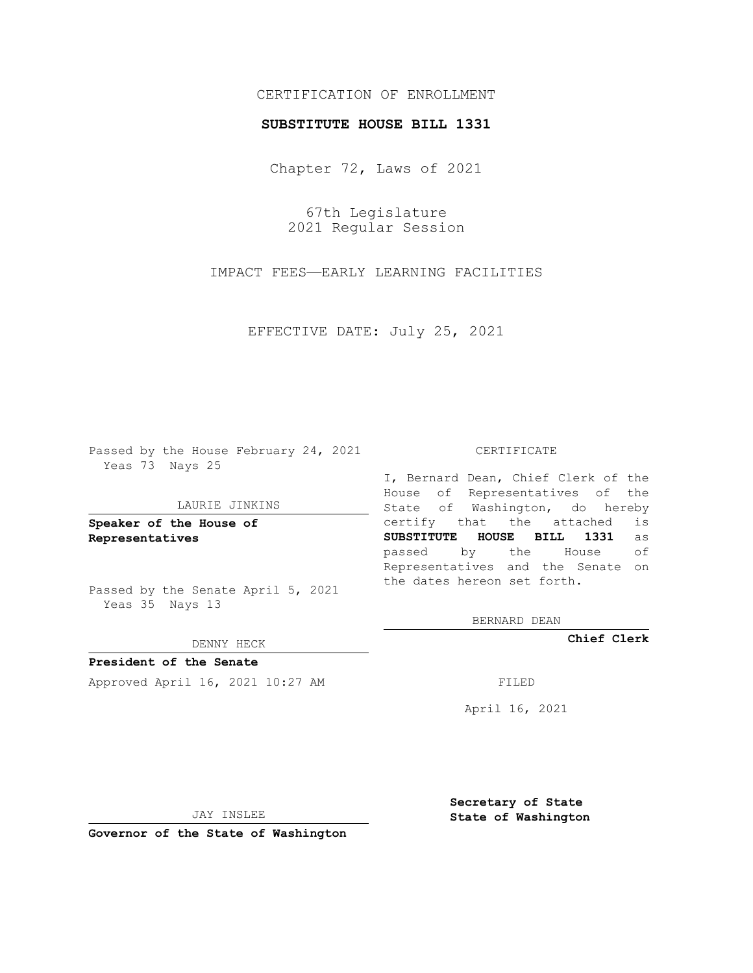# CERTIFICATION OF ENROLLMENT

### **SUBSTITUTE HOUSE BILL 1331**

Chapter 72, Laws of 2021

67th Legislature 2021 Regular Session

IMPACT FEES—EARLY LEARNING FACILITIES

EFFECTIVE DATE: July 25, 2021

Passed by the House February 24, 2021 Yeas 73 Nays 25

#### LAURIE JINKINS

**Speaker of the House of Representatives**

Passed by the Senate April 5, 2021 Yeas 35 Nays 13

### DENNY HECK

**President of the Senate** Approved April 16, 2021 10:27 AM FILED

CERTIFICATE

I, Bernard Dean, Chief Clerk of the House of Representatives of the State of Washington, do hereby certify that the attached is **SUBSTITUTE HOUSE BILL 1331** as passed by the House of Representatives and the Senate on the dates hereon set forth.

BERNARD DEAN

**Chief Clerk**

April 16, 2021

JAY INSLEE

**Governor of the State of Washington**

**Secretary of State State of Washington**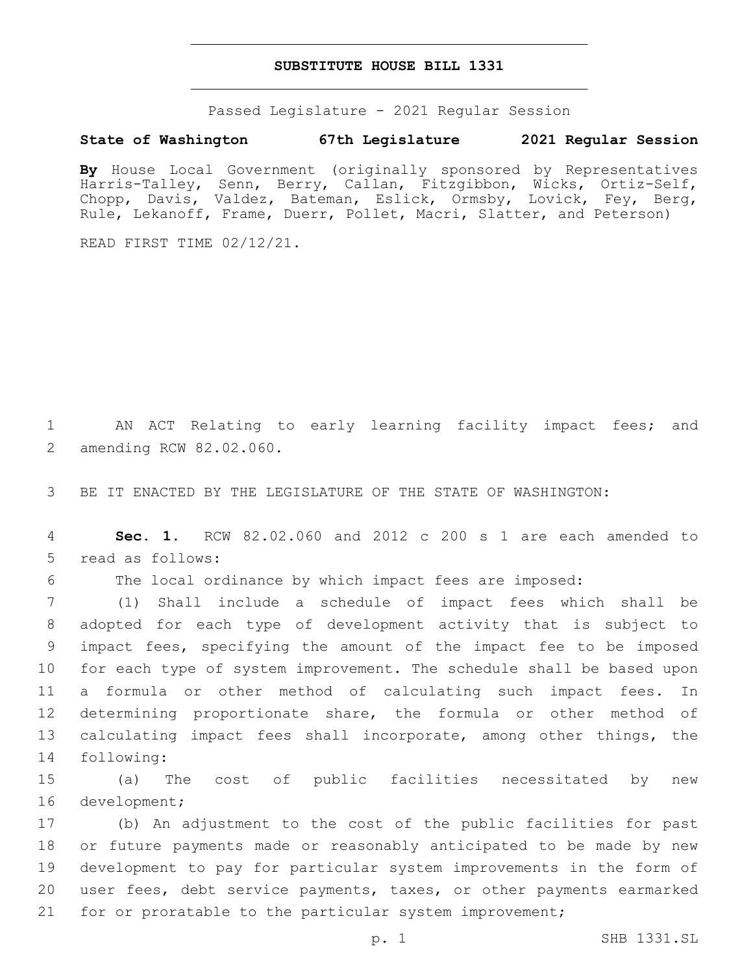## **SUBSTITUTE HOUSE BILL 1331**

Passed Legislature - 2021 Regular Session

## **State of Washington 67th Legislature 2021 Regular Session**

**By** House Local Government (originally sponsored by Representatives Harris-Talley, Senn, Berry, Callan, Fitzgibbon, Wicks, Ortiz-Self, Chopp, Davis, Valdez, Bateman, Eslick, Ormsby, Lovick, Fey, Berg, Rule, Lekanoff, Frame, Duerr, Pollet, Macri, Slatter, and Peterson)

READ FIRST TIME 02/12/21.

1 AN ACT Relating to early learning facility impact fees; and 2 amending RCW 82.02.060.

3 BE IT ENACTED BY THE LEGISLATURE OF THE STATE OF WASHINGTON:

4 **Sec. 1.** RCW 82.02.060 and 2012 c 200 s 1 are each amended to 5 read as follows:

6 The local ordinance by which impact fees are imposed:

 (1) Shall include a schedule of impact fees which shall be adopted for each type of development activity that is subject to impact fees, specifying the amount of the impact fee to be imposed for each type of system improvement. The schedule shall be based upon a formula or other method of calculating such impact fees. In determining proportionate share, the formula or other method of 13 calculating impact fees shall incorporate, among other things, the 14 following:

15 (a) The cost of public facilities necessitated by new 16 development;

 (b) An adjustment to the cost of the public facilities for past or future payments made or reasonably anticipated to be made by new development to pay for particular system improvements in the form of user fees, debt service payments, taxes, or other payments earmarked for or proratable to the particular system improvement;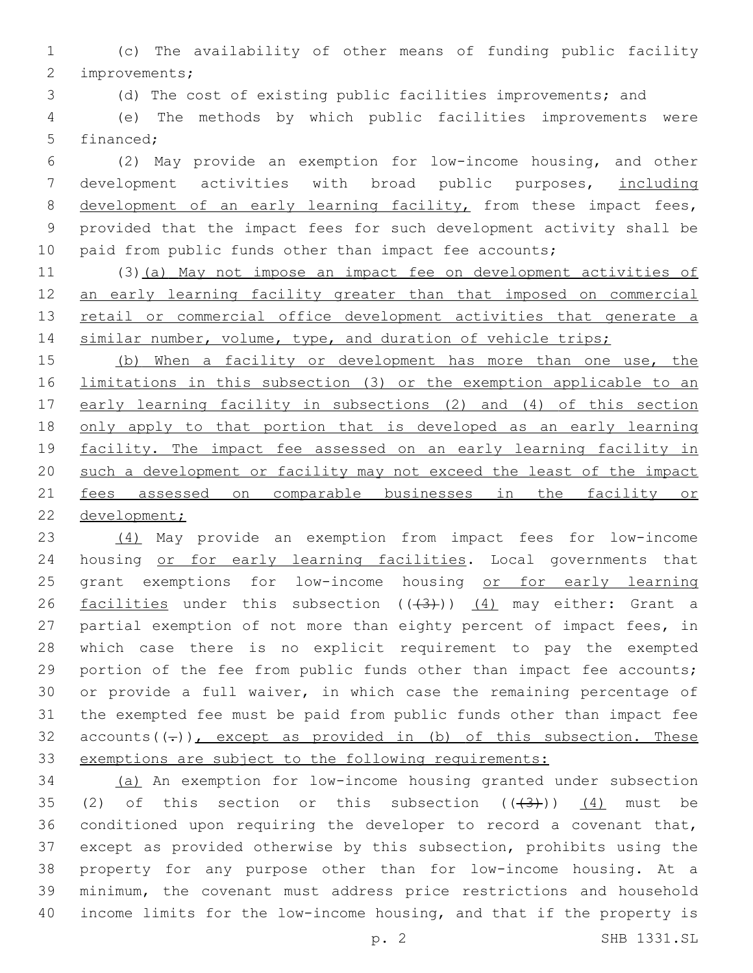(c) The availability of other means of funding public facility 2 improvements;

(d) The cost of existing public facilities improvements; and

 (e) The methods by which public facilities improvements were 5 financed:

 (2) May provide an exemption for low-income housing, and other development activities with broad public purposes, including 8 development of an early learning facility, from these impact fees, provided that the impact fees for such development activity shall be 10 paid from public funds other than impact fee accounts;

11 (3)(a) May not impose an impact fee on development activities of an early learning facility greater than that imposed on commercial 13 retail or commercial office development activities that generate a 14 similar number, volume, type, and duration of vehicle trips;

15 (b) When a facility or development has more than one use, the limitations in this subsection (3) or the exemption applicable to an 17 early learning facility in subsections (2) and (4) of this section only apply to that portion that is developed as an early learning facility. The impact fee assessed on an early learning facility in such a development or facility may not exceed the least of the impact fees assessed on comparable businesses in the facility or development;

 (4) May provide an exemption from impact fees for low-income 24 housing or for early learning facilities. Local governments that 25 grant exemptions for low-income housing or for early learning 26 facilities under this subsection  $((+3))$  (4) may either: Grant a partial exemption of not more than eighty percent of impact fees, in which case there is no explicit requirement to pay the exempted 29 portion of the fee from public funds other than impact fee accounts; or provide a full waiver, in which case the remaining percentage of the exempted fee must be paid from public funds other than impact fee 32 accounts( $(-)$ ), except as provided in (b) of this subsection. These exemptions are subject to the following requirements:

 (a) An exemption for low-income housing granted under subsection 35 (2) of this section or this subsection  $((+3+))$   $(4)$  must be conditioned upon requiring the developer to record a covenant that, except as provided otherwise by this subsection, prohibits using the property for any purpose other than for low-income housing. At a minimum, the covenant must address price restrictions and household income limits for the low-income housing, and that if the property is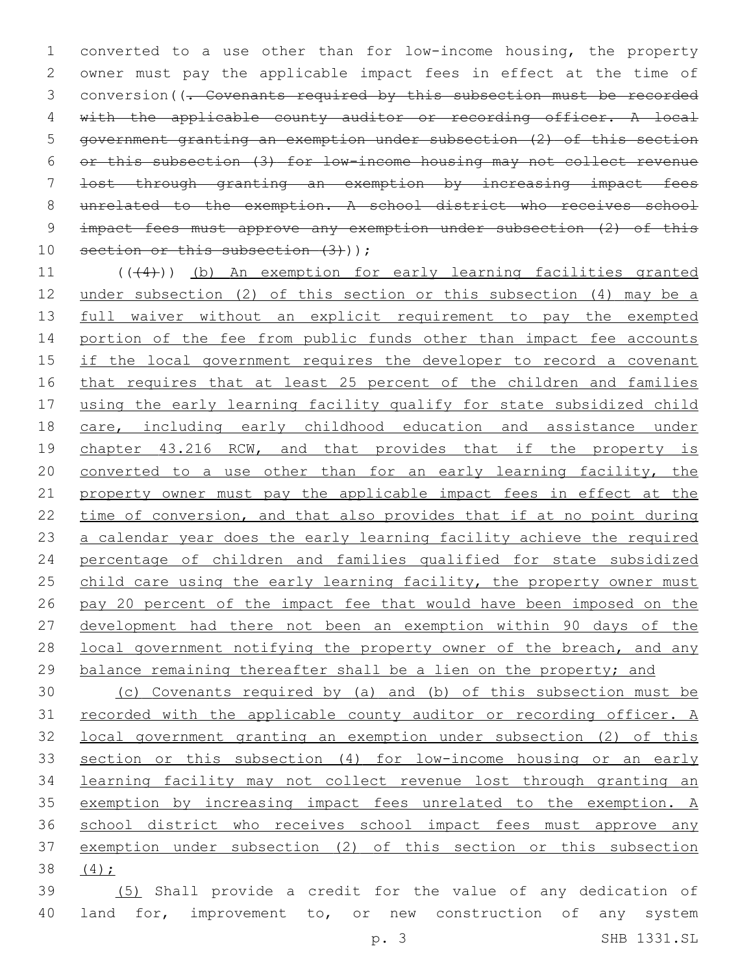converted to a use other than for low-income housing, the property owner must pay the applicable impact fees in effect at the time of 3 conversion((<del>. Covenants required by this subsection must be recorded</del> with the applicable county auditor or recording officer. A local government granting an exemption under subsection (2) of this section or this subsection (3) for low-income housing may not collect revenue lost through granting an exemption by increasing impact fees unrelated to the exemption. A school district who receives school impact fees must approve any exemption under subsection (2) of this 10 section or this subsection (3)));

11 (((4))) (b) An exemption for early learning facilities granted under subsection (2) of this section or this subsection (4) may be a 13 full waiver without an explicit requirement to pay the exempted 14 portion of the fee from public funds other than impact fee accounts 15 if the local government requires the developer to record a covenant that requires that at least 25 percent of the children and families using the early learning facility qualify for state subsidized child care, including early childhood education and assistance under 19 chapter 43.216 RCW, and that provides that if the property is converted to a use other than for an early learning facility, the property owner must pay the applicable impact fees in effect at the time of conversion, and that also provides that if at no point during a calendar year does the early learning facility achieve the required percentage of children and families qualified for state subsidized 25 child care using the early learning facility, the property owner must pay 20 percent of the impact fee that would have been imposed on the development had there not been an exemption within 90 days of the 28 local government notifying the property owner of the breach, and any 29 balance remaining thereafter shall be a lien on the property; and

 (c) Covenants required by (a) and (b) of this subsection must be recorded with the applicable county auditor or recording officer. A local government granting an exemption under subsection (2) of this section or this subsection (4) for low-income housing or an early learning facility may not collect revenue lost through granting an exemption by increasing impact fees unrelated to the exemption. A 36 school district who receives school impact fees must approve any exemption under subsection (2) of this section or this subsection (4);

 (5) Shall provide a credit for the value of any dedication of 40 land for, improvement to, or new construction of any system p. 3 SHB 1331.SL